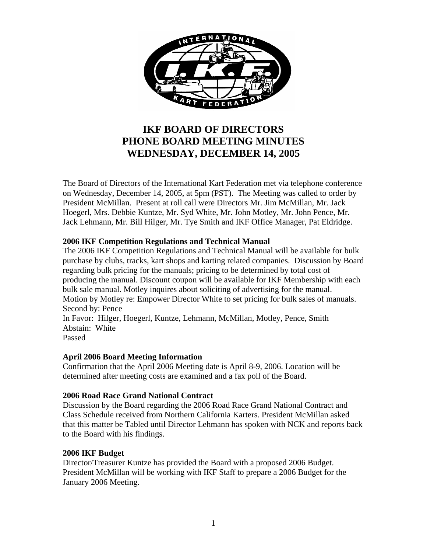

# **IKF BOARD OF DIRECTORS PHONE BOARD MEETING MINUTES WEDNESDAY, DECEMBER 14, 2005**

The Board of Directors of the International Kart Federation met via telephone conference on Wednesday, December 14, 2005, at 5pm (PST). The Meeting was called to order by President McMillan. Present at roll call were Directors Mr. Jim McMillan, Mr. Jack Hoegerl, Mrs. Debbie Kuntze, Mr. Syd White, Mr. John Motley, Mr. John Pence, Mr. Jack Lehmann, Mr. Bill Hilger, Mr. Tye Smith and IKF Office Manager, Pat Eldridge.

# **2006 IKF Competition Regulations and Technical Manual**

The 2006 IKF Competition Regulations and Technical Manual will be available for bulk purchase by clubs, tracks, kart shops and karting related companies. Discussion by Board regarding bulk pricing for the manuals; pricing to be determined by total cost of producing the manual. Discount coupon will be available for IKF Membership with each bulk sale manual. Motley inquires about soliciting of advertising for the manual. Motion by Motley re: Empower Director White to set pricing for bulk sales of manuals. Second by: Pence In Favor: Hilger, Hoegerl, Kuntze, Lehmann, McMillan, Motley, Pence, Smith Abstain: White

Passed

#### **April 2006 Board Meeting Information**

Confirmation that the April 2006 Meeting date is April 8-9, 2006. Location will be determined after meeting costs are examined and a fax poll of the Board.

#### **2006 Road Race Grand National Contract**

Discussion by the Board regarding the 2006 Road Race Grand National Contract and Class Schedule received from Northern California Karters. President McMillan asked that this matter be Tabled until Director Lehmann has spoken with NCK and reports back to the Board with his findings.

#### **2006 IKF Budget**

Director/Treasurer Kuntze has provided the Board with a proposed 2006 Budget. President McMillan will be working with IKF Staff to prepare a 2006 Budget for the January 2006 Meeting.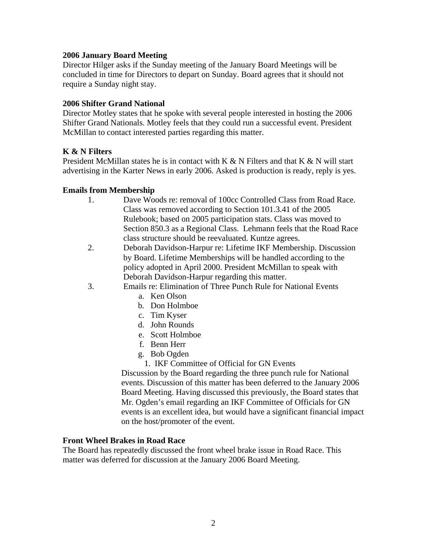## **2006 January Board Meeting**

Director Hilger asks if the Sunday meeting of the January Board Meetings will be concluded in time for Directors to depart on Sunday. Board agrees that it should not require a Sunday night stay.

## **2006 Shifter Grand National**

Director Motley states that he spoke with several people interested in hosting the 2006 Shifter Grand Nationals. Motley feels that they could run a successful event. President McMillan to contact interested parties regarding this matter.

# **K & N Filters**

President McMillan states he is in contact with  $K < N$  Filters and that  $K < N$  will start advertising in the Karter News in early 2006. Asked is production is ready, reply is yes.

# **Emails from Membership**

- 1. Dave Woods re: removal of 100cc Controlled Class from Road Race. Class was removed according to Section 101.3.41 of the 2005 Rulebook; based on 2005 participation stats. Class was moved to Section 850.3 as a Regional Class. Lehmann feels that the Road Race class structure should be reevaluated. Kuntze agrees.
- 2. Deborah Davidson-Harpur re: Lifetime IKF Membership. Discussion by Board. Lifetime Memberships will be handled according to the policy adopted in April 2000. President McMillan to speak with Deborah Davidson-Harpur regarding this matter.
- 3. Emails re: Elimination of Three Punch Rule for National Events
	- a. Ken Olson
	- b. Don Holmboe
	- c. Tim Kyser
	- d. John Rounds
	- e. Scott Holmboe
	- f. Benn Herr
	- g. Bob Ogden
		- 1. IKF Committee of Official for GN Events

Discussion by the Board regarding the three punch rule for National events. Discussion of this matter has been deferred to the January 2006 Board Meeting. Having discussed this previously, the Board states that Mr. Ogden's email regarding an IKF Committee of Officials for GN events is an excellent idea, but would have a significant financial impact on the host/promoter of the event.

#### **Front Wheel Brakes in Road Race**

The Board has repeatedly discussed the front wheel brake issue in Road Race. This matter was deferred for discussion at the January 2006 Board Meeting.